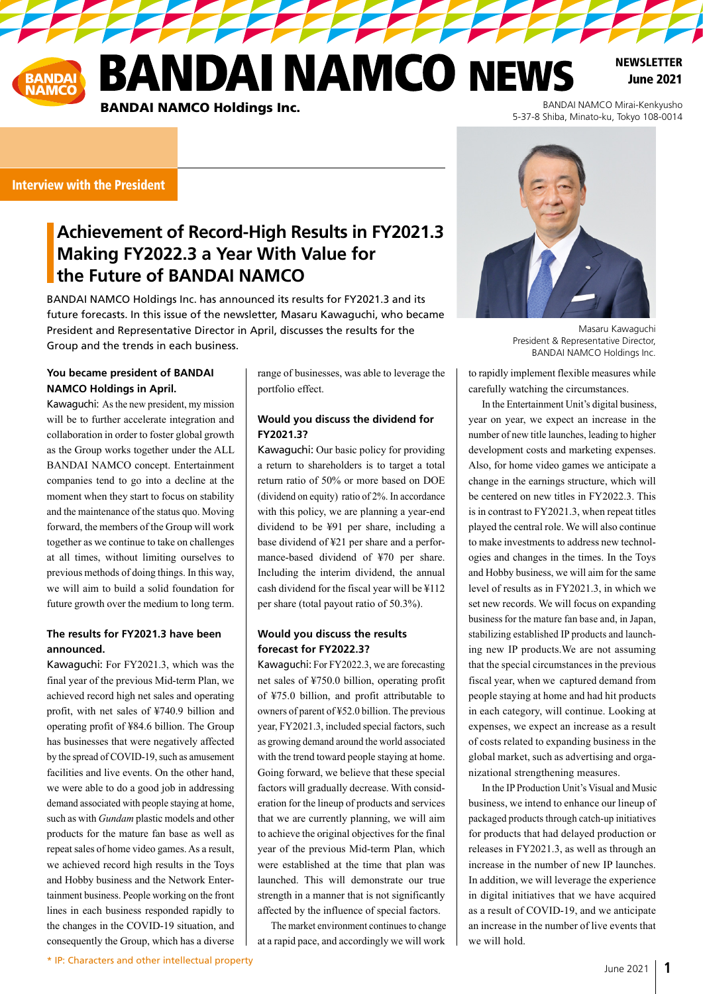**ANDAI NAMCO NEWS BANDAI NAMCO Holdings Inc.** BANDAI NAMCO Mirai-Kenkyusho

**TAN TAN TAN** 

**NEWSLETTER** June 2021

Interview with the President

## **Achievement of Record-High Results in FY2021.3 Making FY2022.3 a Year With Value for the Future of BANDAI NAMCO**

BANDAI NAMCO Holdings Inc. has announced its results for FY2021.3 and its future forecasts. In this issue of the newsletter, Masaru Kawaguchi, who became President and Representative Director in April, discusses the results for the Group and the trends in each business.

### **You became president of BANDAI NAMCO Holdings in April.**

Kawaguchi: As the new president, my mission will be to further accelerate integration and collaboration in order to foster global growth as the Group works together under the ALL BANDAI NAMCO concept. Entertainment companies tend to go into a decline at the moment when they start to focus on stability and the maintenance of the status quo. Moving forward, the members of the Group will work together as we continue to take on challenges at all times, without limiting ourselves to previous methods of doing things. In this way, we will aim to build a solid foundation for future growth over the medium to long term.

#### **The results for FY2021.3 have been announced.**

Kawaguchi: For FY2021.3, which was the final year of the previous Mid-term Plan, we achieved record high net sales and operating profit, with net sales of ¥740.9 billion and operating profit of ¥84.6 billion. The Group has businesses that were negatively affected by the spread of COVID-19, such as amusement facilities and live events. On the other hand, we were able to do a good job in addressing demand associated with people staying at home, such as with *Gundam* plastic models and other products for the mature fan base as well as repeat sales of home video games. As a result, we achieved record high results in the Toys and Hobby business and the Network Entertainment business. People working on the front lines in each business responded rapidly to the changes in the COVID-19 situation, and consequently the Group, which has a diverse range of businesses, was able to leverage the portfolio effect.

### **Would you discuss the dividend for FY2021.3?**

Kawaguchi: Our basic policy for providing a return to shareholders is to target a total return ratio of 50% or more based on DOE (dividend on equity) ratio of 2%. In accordance with this policy, we are planning a year-end dividend to be ¥91 per share, including a base dividend of ¥21 per share and a performance-based dividend of ¥70 per share. Including the interim dividend, the annual cash dividend for the fiscal year will be ¥112 per share (total payout ratio of 50.3%).

#### **Would you discuss the results forecast for FY2022.3?**

Kawaguchi: For FY2022.3, we are forecasting net sales of ¥750.0 billion, operating profit of ¥75.0 billion, and profit attributable to owners of parent of ¥52.0 billion. The previous year, FY2021.3, included special factors, such as growing demand around the world associated with the trend toward people staying at home. Going forward, we believe that these special factors will gradually decrease. With consideration for the lineup of products and services that we are currently planning, we will aim to achieve the original objectives for the final year of the previous Mid-term Plan, which were established at the time that plan was launched. This will demonstrate our true strength in a manner that is not significantly affected by the influence of special factors.

The market environment continues to change at a rapid pace, and accordingly we will work



Masaru Kawaguchi President & Representative Director, BANDAI NAMCO Holdings Inc.

5-37-8 Shiba, Minato-ku, Tokyo 108-0014

to rapidly implement flexible measures while carefully watching the circumstances.

In the Entertainment Unit's digital business, year on year, we expect an increase in the number of new title launches, leading to higher development costs and marketing expenses. Also, for home video games we anticipate a change in the earnings structure, which will be centered on new titles in FY2022.3. This is in contrast to FY2021.3, when repeat titles played the central role. We will also continue to make investments to address new technologies and changes in the times. In the Toys and Hobby business, we will aim for the same level of results as in FY2021.3, in which we set new records. We will focus on expanding business for the mature fan base and, in Japan, stabilizing established IP products and launching new IP products.We are not assuming that the special circumstances in the previous fiscal year, when we captured demand from people staying at home and had hit products in each category, will continue. Looking at expenses, we expect an increase as a result of costs related to expanding business in the global market, such as advertising and organizational strengthening measures.

In the IP Production Unit's Visual and Music business, we intend to enhance our lineup of packaged products through catch-up initiatives for products that had delayed production or releases in FY2021.3, as well as through an increase in the number of new IP launches. In addition, we will leverage the experience in digital initiatives that we have acquired as a result of COVID-19, and we anticipate an increase in the number of live events that we will hold.